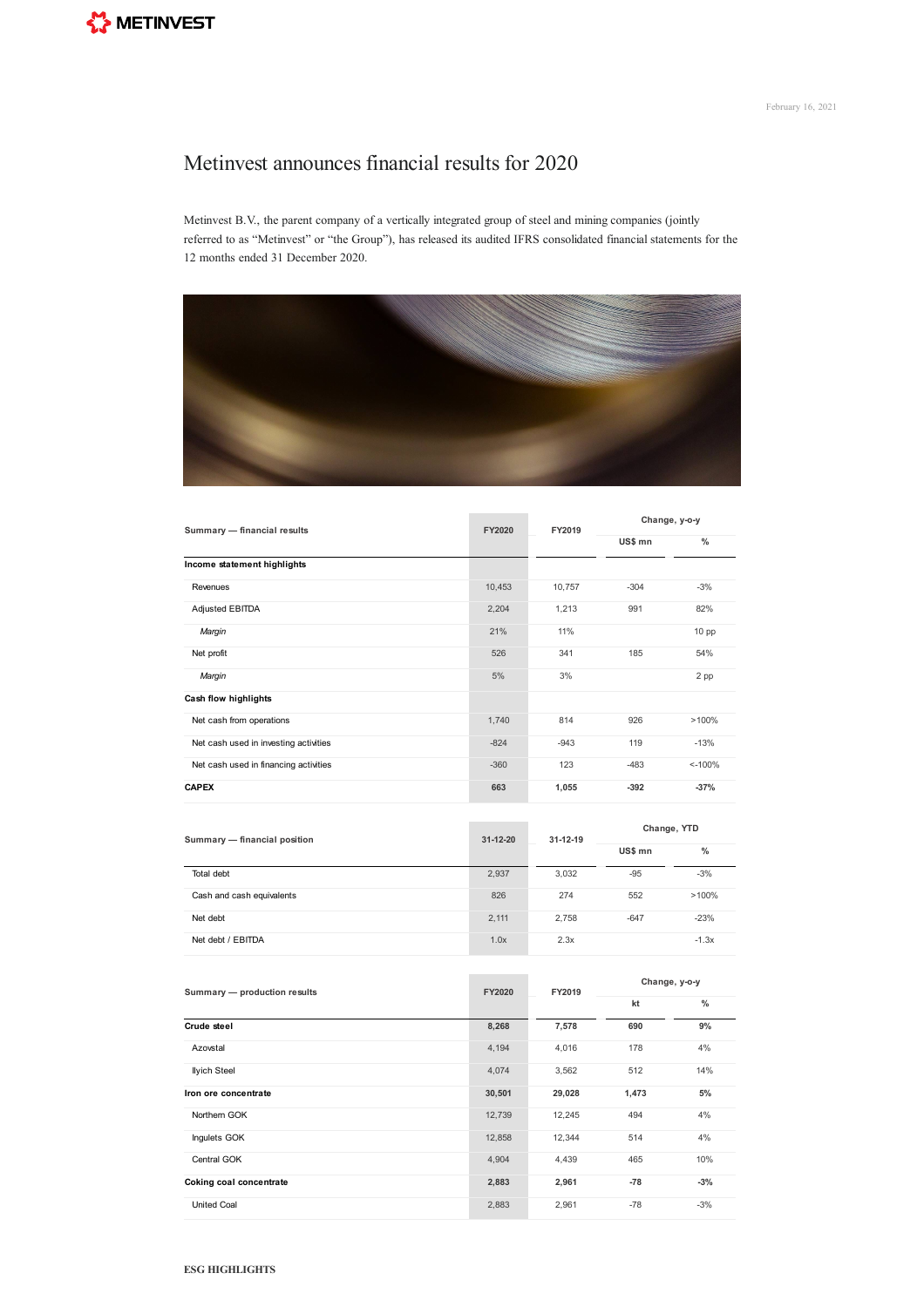## Metinvest announces financial results for 2020

Metinvest B.V., the parent company of a vertically integrated group of steel and mining companies (jointly referred to as "Metinvest" or "the Group"), has released its audited IFRS consolidated financial statements for the 12 months ended 31 December 2020.



**Contract Contract** 

| Summary - financial results           | FY2020 | FY2019 | Change, y-o-y |                  |
|---------------------------------------|--------|--------|---------------|------------------|
|                                       |        |        | US\$ mn       | $\frac{0}{0}$    |
| Income statement highlights           |        |        |               |                  |
| Revenues                              | 10,453 | 10,757 | $-304$        | $-3%$            |
| Adjusted EBITDA                       | 2,204  | 1,213  | 991           | 82%              |
| Margin                                | 21%    | 11%    |               | 10 <sub>pp</sub> |
| Net profit                            | 526    | 341    | 185           | 54%              |
| Margin                                | 5%     | 3%     |               | 2 pp             |
| Cash flow highlights                  |        |        |               |                  |
| Net cash from operations              | 1,740  | 814    | 926           | >100%            |
| Net cash used in investing activities | $-824$ | $-943$ | 119           | $-13%$           |
| Net cash used in financing activities | $-360$ | 123    | $-483$        | $< -100%$        |
| <b>CAPEX</b>                          | 663    | 1,055  | $-392$        | $-37%$           |

| Summary - financial position | $31 - 12 - 20$ | $31 - 12 - 19$ | Change, YTD |         |
|------------------------------|----------------|----------------|-------------|---------|
|                              |                |                | US\$ mn     | $\%$    |
| Total debt                   | 2,937          | 3.032          | $-95$       | $-3%$   |
| Cash and cash equivalents    | 826            | 274            | 552         | >100%   |
| Net debt                     | 2,111          | 2.758          | $-647$      | $-23%$  |
| Net debt / EBITDA            | 1.0x           | 2.3x           |             | $-1.3x$ |

| Summary - production results | FY2020 | FY2019 | Change, y-o-y |               |
|------------------------------|--------|--------|---------------|---------------|
|                              |        |        | kt            | $\frac{0}{0}$ |
| Crude steel                  | 8,268  | 7,578  | 690           | 9%            |
| Azovstal                     | 4,194  | 4,016  | 178           | 4%            |
| <b>Ilyich Steel</b>          | 4,074  | 3,562  | 512           | 14%           |
| Iron ore concentrate         | 30,501 | 29,028 | 1,473         | 5%            |
| Northern GOK                 | 12,739 | 12,245 | 494           | 4%            |
| Inquiets GOK                 | 12,858 | 12,344 | 514           | 4%            |
| Central GOK                  | 4,904  | 4,439  | 465           | 10%           |
| Coking coal concentrate      | 2,883  | 2,961  | $-78$         | $-3%$         |
| <b>United Coal</b>           | 2,883  | 2,961  | $-78$         | $-3%$         |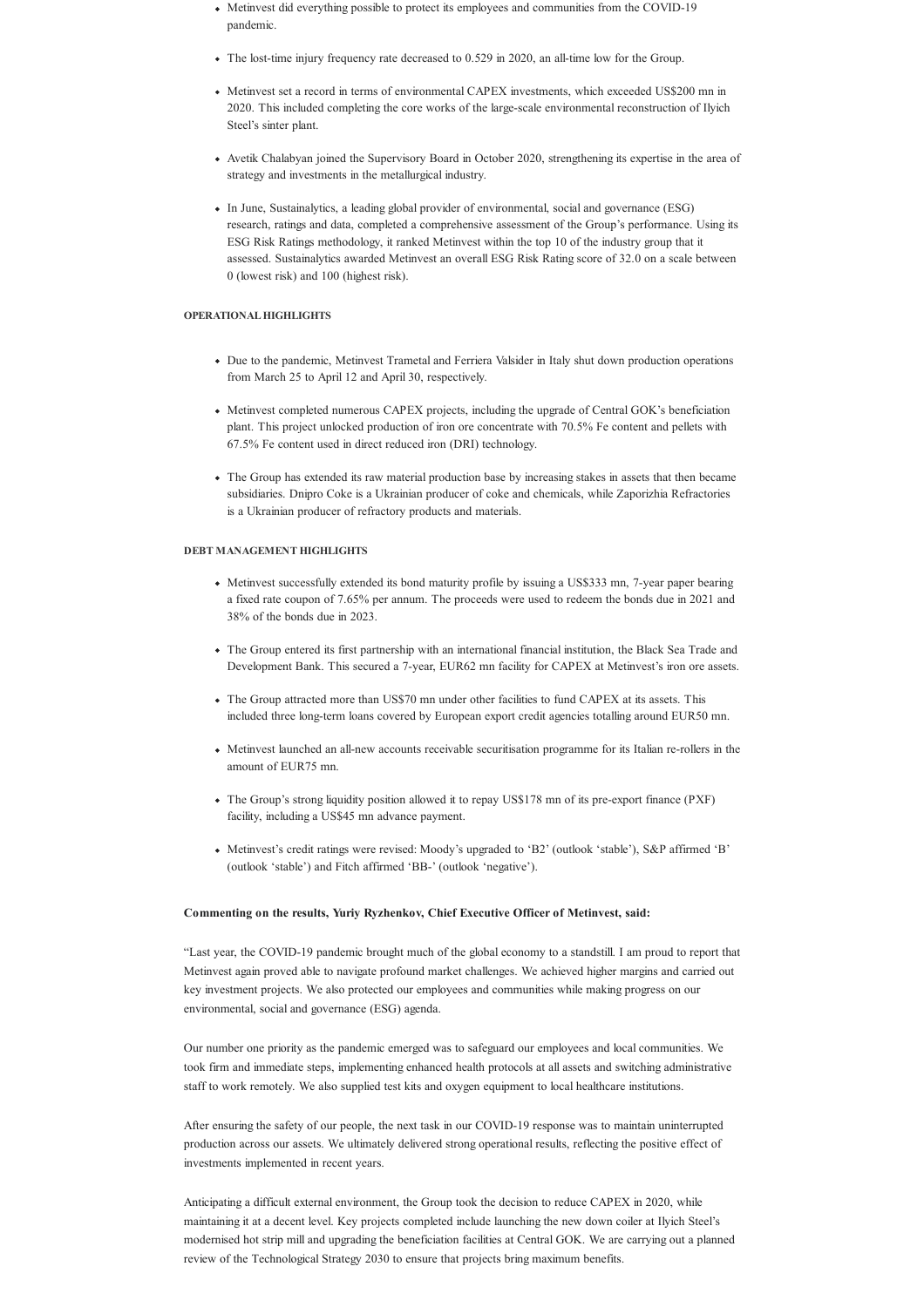- Metinvest did everything possible to protect its employees and communities from the COVID-19 pandemic.
- The lost-time injury frequency rate decreased to 0.529 in 2020, an all-time low for the Group.
- Metinvest set a record in terms of environmental CAPEX investments, which exceeded US\$200 mn in 2020. This included completing the core works of the large-scale environmental reconstruction of Ilyich Steel's sinter plant.
- Avetik Chalabyan joined the Supervisory Board in October 2020, strengthening its expertise in the area of strategy and investments in the metallurgical industry.
- In June, Sustainalytics, a leading global provider of environmental, social and governance (ESG) research, ratings and data, completed a comprehensive assessment of the Group's performance. Using its ESG Risk Ratings methodology, it ranked Metinvest within the top 10 of the industry group that it assessed. Sustainalytics awarded Metinvest an overall ESG Risk Rating score of 32.0 on a scale between 0 (lowest risk) and 100 (highest risk).

## **OPERATIONALHIGHLIGHTS**

- Due to the pandemic, Metinvest Trametal and Ferriera Valsider in Italy shut down production operations from March 25 to April 12 and April 30, respectively.
- Metinvest completed numerous CAPEX projects, including the upgrade of Central GOK's beneficiation plant. This project unlocked production of iron ore concentrate with 70.5% Fe content and pellets with 67.5% Fe content used in direct reduced iron (DRI) technology.
- The Group has extended its raw material production base by increasing stakes in assets that then became subsidiaries. Dnipro Coke is a Ukrainian producer of coke and chemicals, while Zaporizhia Refractories is a Ukrainian producer of refractory products and materials.

## **DEBT MANAGEMENT HIGHLIGHTS**

- Metinvest successfully extended its bond maturity profile by issuing a US\$333 mn, 7-year paper bearing a fixed rate coupon of 7.65% per annum. The proceeds were used to redeem the bonds due in 2021 and 38% of the bonds due in 2023.
- The Group entered its first partnership with an international financial institution, the Black Sea Trade and Development Bank. This secured a 7-year, EUR62 mn facility for CAPEX at Metinvest's iron ore assets.
- The Group attracted more than US\$70 mn under other facilities to fund CAPEX at its assets. This included three long-term loans covered by European export credit agencies totalling around EUR50 mn.
- Metinvest launched an all-new accounts receivable securitisation programme for its Italian re-rollers in the amount of EUR75 mn.
- The Group's strong liquidity position allowed it to repay US\$178 mn of its pre-export finance (PXF) facility, including a US\$45 mn advance payment.
- Metinvest's credit ratings were revised: Moody's upgraded to 'B2' (outlook 'stable'), S&P affirmed 'B' (outlook 'stable') and Fitch affirmed 'BB-' (outlook 'negative').

## **Commenting on the results, Yuriy Ryzhenkov, Chief Executive Officer of Metinvest, said:**

"Last year, the COVID-19 pandemic brought much of the global economy to a standstill. I am proud to report that Metinvest again proved able to navigate profound market challenges. We achieved higher margins and carried out key investment projects. We also protected our employees and communities while making progress on our environmental, social and governance (ESG) agenda.

Our number one priority as the pandemic emerged was to safeguard our employees and local communities. We took firm and immediate steps, implementing enhanced health protocols at all assets and switching administrative staff to work remotely. We also supplied test kits and oxygen equipment to local healthcare institutions.

After ensuring the safety of our people, the next task in our COVID-19 response was to maintain uninterrupted production across our assets. We ultimately delivered strong operational results, reflecting the positive effect of investments implemented in recent years.

Anticipating a difficult external environment, the Group took the decision to reduce CAPEX in 2020, while maintaining it at a decent level. Key projects completed include launching the new down coiler at Ilyich Steel's modernised hot strip mill and upgrading the beneficiation facilities at Central GOK. We are carrying out a planned review of the Technological Strategy 2030 to ensure that projects bring maximum benefits.